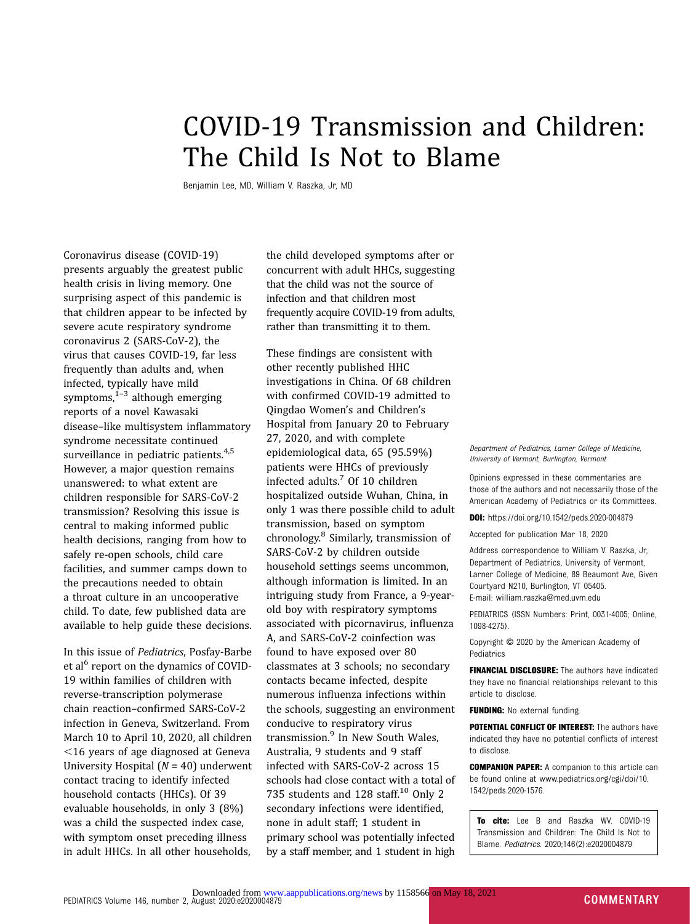## COVID-19 Transmission and Children: The Child Is Not to Blame

Benjamin Lee, MD, William V. Raszka, Jr, MD

Coronavirus disease (COVID-19) presents arguably the greatest public health crisis in living memory. One surprising aspect of this pandemic is that children appear to be infected by severe acute respiratory syndrome coronavirus 2 (SARS-CoV-2), the virus that causes COVID-19, far less frequently than adults and, when infected, typically have mild symptoms, $1-3$  $1-3$  $1-3$  although emerging reports of a novel Kawasaki disease–like multisystem inflammatory syndrome necessitate continued surveillance in pediatric patients.<sup>[4](#page-1-0),[5](#page-1-0)</sup> However, a major question remains unanswered: to what extent are children responsible for SARS-CoV-2 transmission? Resolving this issue is central to making informed public health decisions, ranging from how to safely re-open schools, child care facilities, and summer camps down to the precautions needed to obtain a throat culture in an uncooperative child. To date, few published data are available to help guide these decisions.

In this issue of Pediatrics, Posfay-Barbe et al<sup>6</sup> report on the dynamics of COVID-19 within families of children with reverse-transcription polymerase chain reaction–confirmed SARS-CoV-2 infection in Geneva, Switzerland. From March 10 to April 10, 2020, all children  $<$ 16 years of age diagnosed at Geneva University Hospital  $(N = 40)$  underwent contact tracing to identify infected household contacts (HHCs). Of 39 evaluable households, in only 3 (8%) was a child the suspected index case, with symptom onset preceding illness in adult HHCs. In all other households,

the child developed symptoms after or concurrent with adult HHCs, suggesting that the child was not the source of infection and that children most frequently acquire COVID-19 from adults, rather than transmitting it to them.

These findings are consistent with other recently published HHC investigations in China. Of 68 children with confirmed COVID-19 admitted to Qingdao Women's and Children's Hospital from January 20 to February 27, 2020, and with complete epidemiological data, 65 (95.59%) patients were HHCs of previously infected adults.[7](#page-1-0) Of 10 children hospitalized outside Wuhan, China, in only 1 was there possible child to adult transmission, based on symptom chronology.[8](#page-1-0) Similarly, transmission of SARS-CoV-2 by children outside household settings seems uncommon, although information is limited. In an intriguing study from France, a 9-yearold boy with respiratory symptoms associated with picornavirus, influenza A, and SARS-CoV-2 coinfection was found to have exposed over 80 classmates at 3 schools; no secondary contacts became infected, despite numerous influenza infections within the schools, suggesting an environment conducive to respiratory virus transmission.<sup>[9](#page-1-0)</sup> In New South Wales. Australia, 9 students and 9 staff infected with SARS-CoV-2 across 15 schools had close contact with a total of 735 students and 128 staff. $10$  Only 2 secondary infections were identified, none in adult staff; 1 student in primary school was potentially infected by a staff member, and 1 student in high

Department of Pediatrics, Larner College of Medicine, University of Vermont, Burlington, Vermont

Opinions expressed in these commentaries are those of the authors and not necessarily those of the American Academy of Pediatrics or its Committees.

DOI: <https://doi.org/10.1542/peds.2020-004879>

Accepted for publication Mar 18, 2020

Address correspondence to William V. Raszka, Jr, Department of Pediatrics, University of Vermont, Larner College of Medicine, 89 Beaumont Ave, Given Courtyard N210, Burlington, VT 05405. E-mail: [william.raszka@med.uvm.edu](mailto:william.raszka@med.uvm.edu)

PEDIATRICS (ISSN Numbers: Print, 0031-4005; Online, 1098-4275).

Copyright © 2020 by the American Academy of Pediatrics

FINANCIAL DISCLOSURE: The authors have indicated they have no financial relationships relevant to this article to disclose.

FUNDING: No external funding.

POTENTIAL CONFLICT OF INTEREST: The authors have indicated they have no potential conflicts of interest to disclose.

COMPANION PAPER: A companion to this article can be found online at [www.pediatrics.org/cgi/doi/10.](http://www.pediatrics.org/cgi/doi/10.1542/peds.2020-1576) [1542/peds.2020-1576](http://www.pediatrics.org/cgi/doi/10.1542/peds.2020-1576).

To cite: Lee B and Raszka WV. COVID-19 Transmission and Children: The Child Is Not to Blame. Pediatrics. 2020;146(2):e2020004879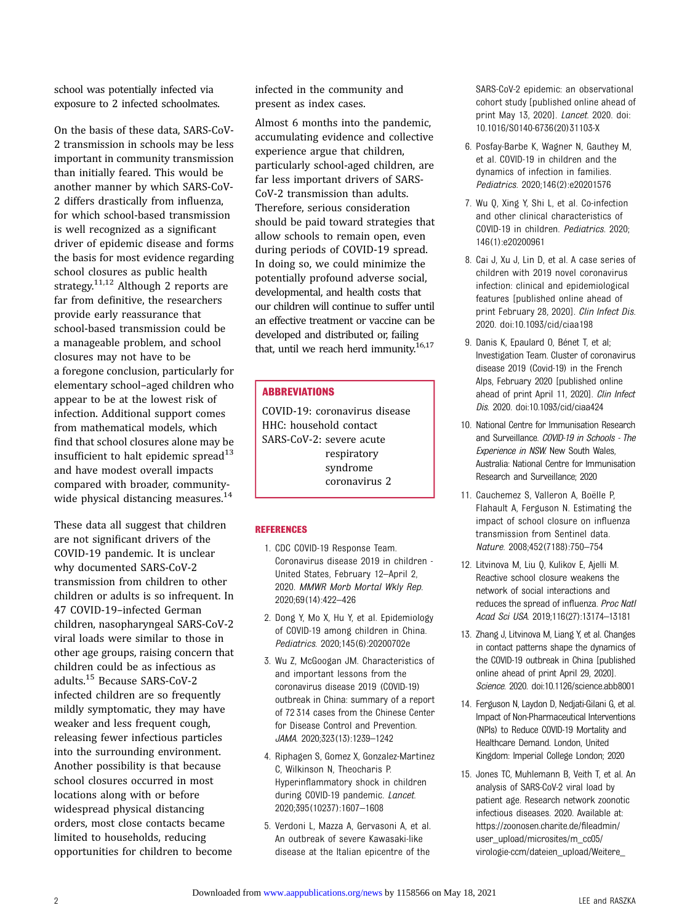<span id="page-1-0"></span>school was potentially infected via exposure to 2 infected schoolmates.

On the basis of these data, SARS-CoV-2 transmission in schools may be less important in community transmission than initially feared. This would be another manner by which SARS-CoV-2 differs drastically from influenza, for which school-based transmission is well recognized as a significant driver of epidemic disease and forms the basis for most evidence regarding school closures as public health strategy.<sup>11,12</sup> Although 2 reports are far from definitive, the researchers provide early reassurance that school-based transmission could be a manageable problem, and school closures may not have to be a foregone conclusion, particularly for elementary school–aged children who appear to be at the lowest risk of infection. Additional support comes from mathematical models, which find that school closures alone may be insufficient to halt epidemic spread<sup>13</sup> and have modest overall impacts compared with broader, communitywide physical distancing measures.<sup>14</sup>

These data all suggest that children are not significant drivers of the COVID-19 pandemic. It is unclear why documented SARS-CoV-2 transmission from children to other children or adults is so infrequent. In 47 COVID-19–infected German children, nasopharyngeal SARS-CoV-2 viral loads were similar to those in other age groups, raising concern that children could be as infectious as adults.15 Because SARS-CoV-2 infected children are so frequently mildly symptomatic, they may have weaker and less frequent cough, releasing fewer infectious particles into the surrounding environment. Another possibility is that because school closures occurred in most locations along with or before widespread physical distancing orders, most close contacts became limited to households, reducing opportunities for children to become

infected in the community and present as index cases.

Almost 6 months into the pandemic, accumulating evidence and collective experience argue that children, particularly school-aged children, are far less important drivers of SARS-CoV-2 transmission than adults. Therefore, serious consideration should be paid toward strategies that allow schools to remain open, even during periods of COVID-19 spread. In doing so, we could minimize the potentially profound adverse social, developmental, and health costs that our children will continue to suffer until an effective treatment or vaccine can be developed and distributed or, failing that, until we reach herd immunity. $16,17$  $16,17$ 

## **ABBREVIATIONS**

COVID-19: coronavirus disease HHC: household contact SARS-CoV-2: severe acute respiratory syndrome coronavirus 2

## **REFERENCES**

- 1. CDC COVID-19 Response Team. Coronavirus disease 2019 in children - United States, February 12–April 2, 2020. MMWR Morb Mortal Wkly Rep. 2020;69(14):422–426
- 2. Dong Y, Mo X, Hu Y, et al. Epidemiology of COVID-19 among children in China. Pediatrics. 2020;145(6):20200702e
- 3. Wu Z, McGoogan JM. Characteristics of and important lessons from the coronavirus disease 2019 (COVID-19) outbreak in China: summary of a report of 72 314 cases from the Chinese Center for Disease Control and Prevention. JAMA. 2020;323(13):1239–1242
- 4. Riphagen S, Gomez X, Gonzalez-Martinez C, Wilkinson N, Theocharis P. Hyperinflammatory shock in children during COVID-19 pandemic. Lancet. 2020;395(10237):1607–1608
- 5. Verdoni L, Mazza A, Gervasoni A, et al. An outbreak of severe Kawasaki-like disease at the Italian epicentre of the

SARS-CoV-2 epidemic: an observational cohort study [published online ahead of print May 13, 2020]. Lancet. 2020. doi: 10.1016/S0140-6736(20)31103-X

- 6. Posfay-Barbe K, Wagner N, Gauthey M, et al. COVID-19 in children and the dynamics of infection in families. Pediatrics. 2020;146(2):e20201576
- 7. Wu Q, Xing Y, Shi L, et al. Co-infection and other clinical characteristics of COVID-19 in children. Pediatrics. 2020; 146(1):e20200961
- 8. Cai J, Xu J, Lin D, et al. A case series of children with 2019 novel coronavirus infection: clinical and epidemiological features [published online ahead of print February 28, 2020]. Clin Infect Dis. 2020. doi:10.1093/cid/ciaa198
- 9. Danis K, Epaulard O, Bénet T, et al; Investigation Team. Cluster of coronavirus disease 2019 (Covid-19) in the French Alps, February 2020 [published online ahead of print April 11, 2020]. Clin Infect Dis. 2020. doi:10.1093/cid/ciaa424
- 10. National Centre for Immunisation Research and Surveillance. COVID-19 in Schools - The Experience in NSW. New South Wales, Australia: National Centre for Immunisation Research and Surveillance; 2020
- 11. Cauchemez S, Valleron A, Boëlle P, Flahault A, Ferguson N. Estimating the impact of school closure on influenza transmission from Sentinel data. Nature. 2008;452(7188):750–754
- 12. Litvinova M, Liu Q, Kulikov E, Ajelli M. Reactive school closure weakens the network of social interactions and reduces the spread of influenza. Proc Natl Acad Sci USA. 2019;116(27):13174–13181
- 13. Zhang J, Litvinova M, Liang Y, et al. Changes in contact patterns shape the dynamics of the COVID-19 outbreak in China [published online ahead of print April 29, 2020]. Science. 2020. doi:10.1126/science.abb8001
- 14. Ferguson N, Laydon D, Nedjati-Gilani G, et al. Impact of Non-Pharmaceutical Interventions (NPIs) to Reduce COVID-19 Mortality and Healthcare Demand. London, United Kingdom: Imperial College London; 2020
- 15. Jones TC, Muhlemann B, Veith T, et al. An analysis of SARS-CoV-2 viral load by patient age. Research network zoonotic infectious diseases. 2020. Available at: [https://zoonosen.charite.de/](https://zoonosen.charite.de/fileadmin/user_upload/microsites/m_cc05/virologie-ccm/dateien_upload/Weitere_Dateien/analysis-of-SARS-CoV-2-viral-load-by-patient-age.pdf)fileadmin/ [user\\_upload/microsites/m\\_cc05/](https://zoonosen.charite.de/fileadmin/user_upload/microsites/m_cc05/virologie-ccm/dateien_upload/Weitere_Dateien/analysis-of-SARS-CoV-2-viral-load-by-patient-age.pdf) [virologie-ccm/dateien\\_upload/Weitere\\_](https://zoonosen.charite.de/fileadmin/user_upload/microsites/m_cc05/virologie-ccm/dateien_upload/Weitere_Dateien/analysis-of-SARS-CoV-2-viral-load-by-patient-age.pdf)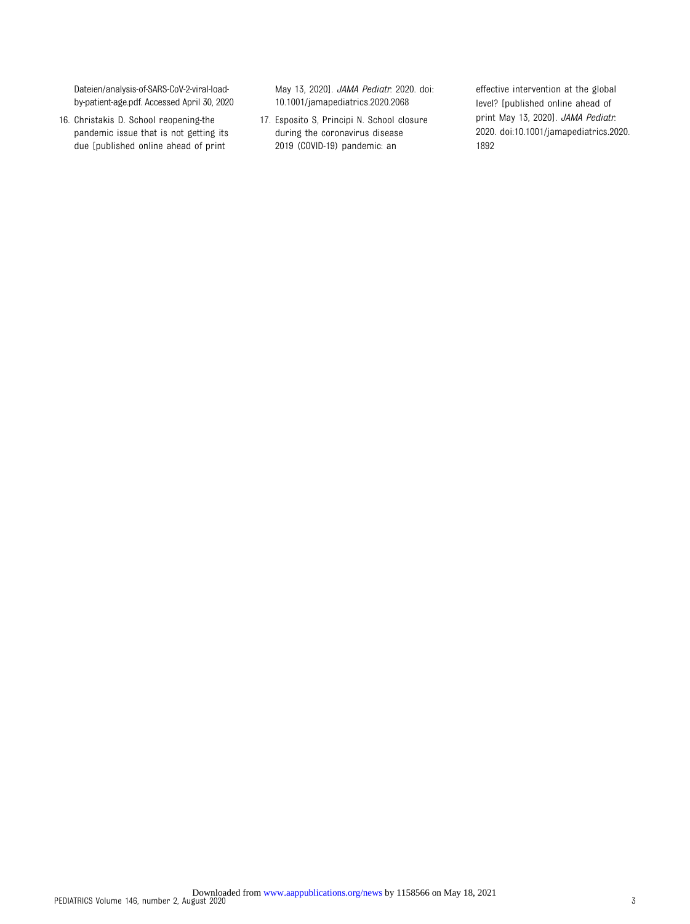<span id="page-2-0"></span>[Dateien/analysis-of-SARS-CoV-2-viral-load](https://zoonosen.charite.de/fileadmin/user_upload/microsites/m_cc05/virologie-ccm/dateien_upload/Weitere_Dateien/analysis-of-SARS-CoV-2-viral-load-by-patient-age.pdf)[by-patient-age.pdf](https://zoonosen.charite.de/fileadmin/user_upload/microsites/m_cc05/virologie-ccm/dateien_upload/Weitere_Dateien/analysis-of-SARS-CoV-2-viral-load-by-patient-age.pdf). Accessed April 30, 2020

16. Christakis D. School reopening-the pandemic issue that is not getting its due [published online ahead of print

May 13, 2020]. JAMA Pediatr. 2020. doi: 10.1001/jamapediatrics.2020.2068

17. Esposito S, Principi N. School closure during the coronavirus disease 2019 (COVID-19) pandemic: an

effective intervention at the global level? [published online ahead of print May 13, 2020]. JAMA Pediatr. 2020. doi:10.1001/jamapediatrics.2020. 1892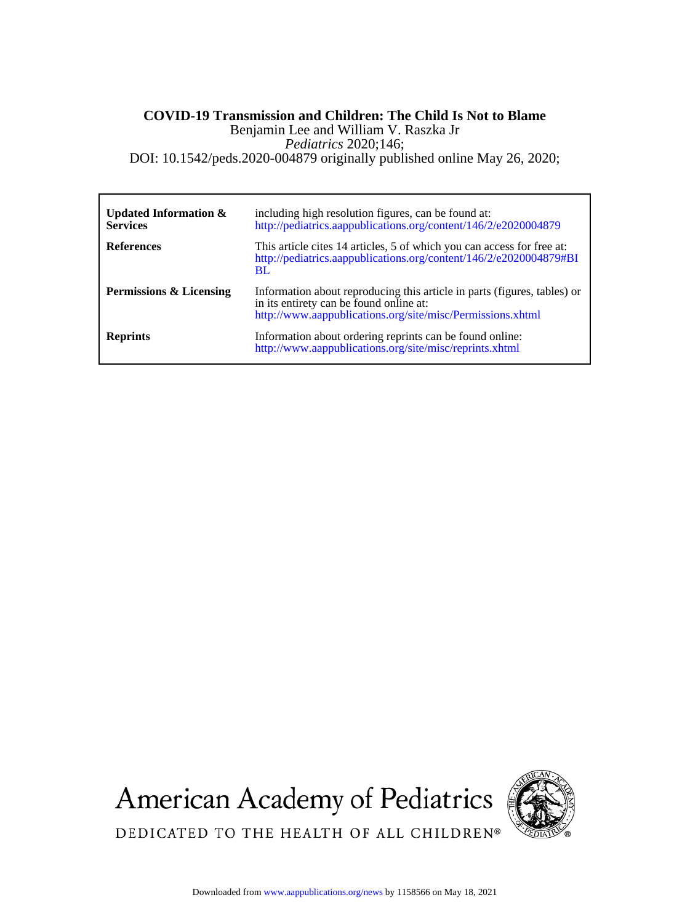## DOI: 10.1542/peds.2020-004879 originally published online May 26, 2020; *Pediatrics* 2020;146; Benjamin Lee and William V. Raszka Jr **COVID-19 Transmission and Children: The Child Is Not to Blame**

| Updated Information $\&$<br><b>Services</b> | including high resolution figures, can be found at:<br>http://pediatrics.aappublications.org/content/146/2/e2020004879                                                            |
|---------------------------------------------|-----------------------------------------------------------------------------------------------------------------------------------------------------------------------------------|
| <b>References</b>                           | This article cites 14 articles, 5 of which you can access for free at:<br>http://pediatrics.aappublications.org/content/146/2/e2020004879#BI<br><b>BL</b>                         |
| <b>Permissions &amp; Licensing</b>          | Information about reproducing this article in parts (figures, tables) or<br>in its entirety can be found online at:<br>http://www.aappublications.org/site/misc/Permissions.xhtml |
| <b>Reprints</b>                             | Information about ordering reprints can be found online:<br>http://www.aappublications.org/site/misc/reprints.xhtml                                                               |

**American Academy of Pediatrics** 



DEDICATED TO THE HEALTH OF ALL CHILDREN®